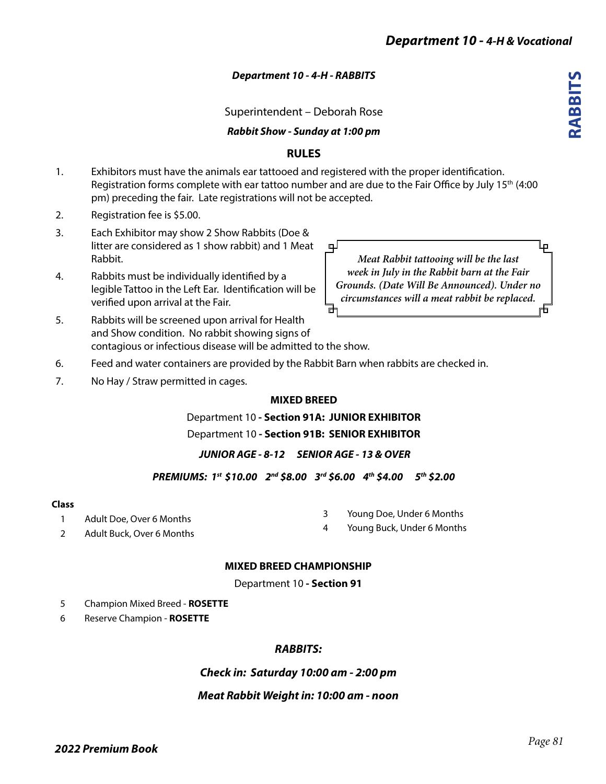**RABBITS**

**ABBITS** 

# *Department 10 - 4-H - RABBITS*

Superintendent – Deborah Rose

*Rabbit Show - Sunday at 1:00 pm*

# **RULES**

- 1. Exhibitors must have the animals ear tattooed and registered with the proper identification. Registration forms complete with ear tattoo number and are due to the Fair Office by July 15<sup>th</sup> (4:00 pm) preceding the fair. Late registrations will not be accepted.
- 2. Registration fee is \$5.00.
- 3. Each Exhibitor may show 2 Show Rabbits (Doe & litter are considered as 1 show rabbit) and 1 Meat Rabbit.
- 4. Rabbits must be individually identified by a legible Tattoo in the Left Ear. Identification will be verified upon arrival at the Fair.

ப صا *Meat Rabbit tattooing will be the last week in July in the Rabbit barn at the Fair Grounds. (Date Will Be Announced). Under no circumstances will a meat rabbit be replaced.* 

- 5. Rabbits will be screened upon arrival for Health and Show condition. No rabbit showing signs of contagious or infectious disease will be admitted to the show.
- 6. Feed and water containers are provided by the Rabbit Barn when rabbits are checked in.
- 7. No Hay / Straw permitted in cages.

## **MIXED BREED**

Department 10 **- Section 91A: JUNIOR EXHIBITOR**

Department 10 **- Section 91B: SENIOR EXHIBITOR**

## *JUNIOR AGE - 8-12 SENIOR AGE - 13 & OVER*

*PREMIUMS: 1st \$10.00 2nd \$8.00 3rd \$6.00 4th \$4.00 5th \$2.00* 

## **Class**

| Adult Doe, Over 6 Months | Young Doe, Under 6 Months  |
|--------------------------|----------------------------|
|                          | Young Buck, Under 6 Months |

2 Adult Buck, Over 6 Months

# **MIXED BREED CHAMPIONSHIP**

Department 10 **- Section 91**

- 5 Champion Mixed Breed **ROSETTE**
- 6 Reserve Champion **ROSETTE**

# *RABBITS:*

*Check in: Saturday 10:00 am - 2:00 pm*

## *Meat Rabbit Weight in: 10:00 am - noon*